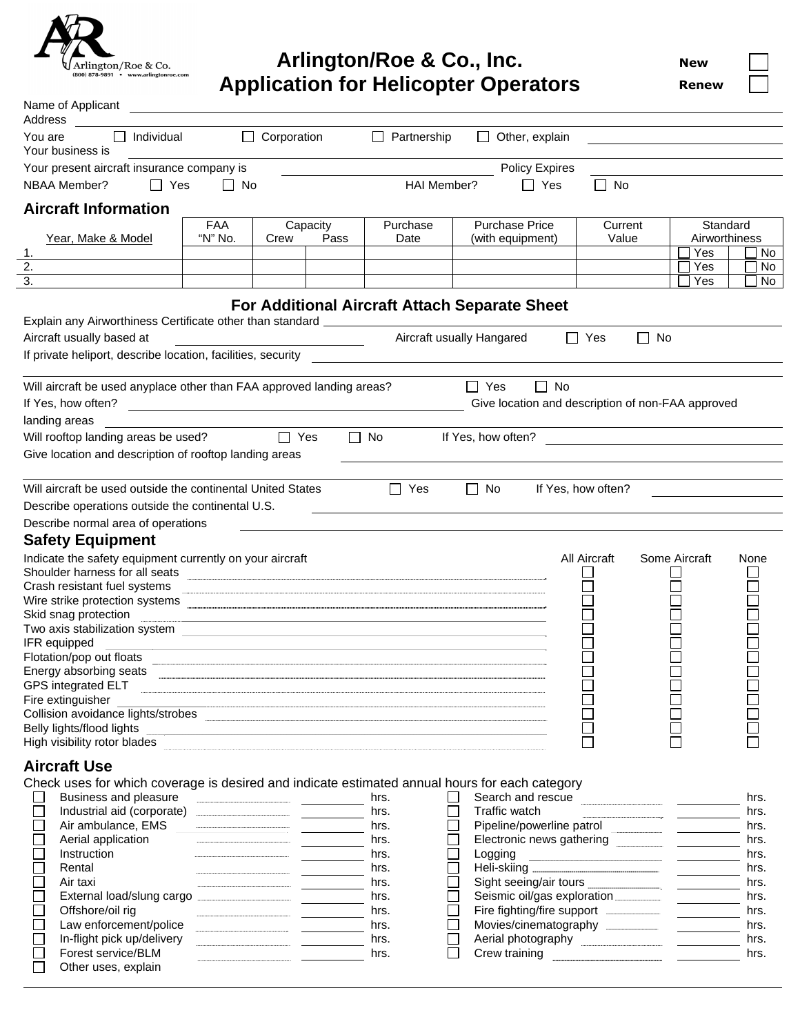

## **Arlington/Roe & Co., Inc. Application for Helicopter Operators**

**New**

**Renew**

| Name of Applicant<br>Address                                                                                                    |            |                                                                                                                        |                           |                    |                                                   |                                   |               |              |
|---------------------------------------------------------------------------------------------------------------------------------|------------|------------------------------------------------------------------------------------------------------------------------|---------------------------|--------------------|---------------------------------------------------|-----------------------------------|---------------|--------------|
| Individual<br>$\Box$<br>You are                                                                                                 | $\Box$     | Corporation                                                                                                            | $\Box$<br>Partnership     | $\Box$             | Other, explain                                    |                                   |               |              |
| Your business is                                                                                                                |            |                                                                                                                        |                           |                    |                                                   |                                   |               |              |
| Your present aircraft insurance company is                                                                                      |            |                                                                                                                        |                           |                    | Policy Expires                                    |                                   |               |              |
| NBAA Member?<br>$\Box$ Yes                                                                                                      | $\Box$ No  |                                                                                                                        | HAI Member?               |                    | $\Box$ Yes                                        | No<br>$\mathcal{L}^{\mathcal{A}}$ |               |              |
| <b>Aircraft Information</b>                                                                                                     |            |                                                                                                                        |                           |                    |                                                   |                                   |               |              |
|                                                                                                                                 | <b>FAA</b> | Capacity                                                                                                               | Purchase                  |                    | <b>Purchase Price</b>                             | Current                           | Standard      |              |
| Year, Make & Model                                                                                                              | "N" No.    | Pass<br>Crew                                                                                                           | Date                      |                    | (with equipment)                                  | Value                             | Airworthiness |              |
| 1.<br>2.                                                                                                                        |            |                                                                                                                        |                           |                    |                                                   |                                   | Yes<br>Yes    | No<br>No     |
| $\overline{3}$ .                                                                                                                |            |                                                                                                                        |                           |                    |                                                   |                                   | Yes           | No           |
|                                                                                                                                 |            |                                                                                                                        |                           |                    |                                                   |                                   |               |              |
|                                                                                                                                 |            | For Additional Aircraft Attach Separate Sheet                                                                          |                           |                    |                                                   |                                   |               |              |
| Explain any Airworthiness Certificate other than standard ______________________                                                |            |                                                                                                                        |                           |                    |                                                   |                                   |               |              |
| Aircraft usually based at                                                                                                       |            | <u> 1980 - Johann Barn, mars eta bainar eta baina eta baina eta baina eta baina eta baina eta baina eta baina e</u> ta | Aircraft usually Hangared |                    |                                                   | $\Box$ Yes<br>П                   | No            |              |
|                                                                                                                                 |            |                                                                                                                        |                           |                    |                                                   |                                   |               |              |
|                                                                                                                                 |            |                                                                                                                        |                           |                    |                                                   |                                   |               |              |
| Will aircraft be used anyplace other than FAA approved landing areas?                                                           |            |                                                                                                                        |                           | $\Box$ Yes         | No<br>$\Box$                                      |                                   |               |              |
| If Yes, how often?                                                                                                              |            |                                                                                                                        |                           |                    | Give location and description of non-FAA approved |                                   |               |              |
| landing areas                                                                                                                   |            |                                                                                                                        |                           |                    |                                                   |                                   |               |              |
| Will rooftop landing areas be used?                                                                                             |            | $\Box$ Yes                                                                                                             | $\Box$ No                 | If Yes, how often? |                                                   |                                   |               |              |
| Give location and description of rooftop landing areas                                                                          |            |                                                                                                                        |                           |                    |                                                   |                                   |               |              |
|                                                                                                                                 |            |                                                                                                                        |                           |                    |                                                   |                                   |               |              |
| Will aircraft be used outside the continental United States                                                                     |            |                                                                                                                        | $\Box$ Yes                | $\Box$ No          |                                                   | If Yes, how often?                |               |              |
| Describe operations outside the continental U.S.                                                                                |            |                                                                                                                        |                           |                    |                                                   |                                   |               |              |
| Describe normal area of operations                                                                                              |            |                                                                                                                        |                           |                    |                                                   |                                   |               |              |
| <b>Safety Equipment</b>                                                                                                         |            |                                                                                                                        |                           |                    |                                                   |                                   |               |              |
| Indicate the safety equipment currently on your aircraft<br>Shoulder harness for all seats                                      |            |                                                                                                                        |                           |                    |                                                   | <b>All Aircraft</b>               | Some Aircraft | None         |
| Crash resistant fuel systems                                                                                                    |            |                                                                                                                        |                           |                    |                                                   |                                   |               |              |
|                                                                                                                                 |            |                                                                                                                        |                           |                    |                                                   |                                   |               |              |
| Skid snag protection                                                                                                            |            | <u> 1989 - Johann Stoff, amerikansk politiker (* 1908)</u>                                                             |                           |                    |                                                   |                                   |               |              |
| Two axis stabilization system experience and a state of the state of the state of the state of the state of the<br>IFR equipped |            |                                                                                                                        |                           |                    |                                                   |                                   |               |              |
| Flotation/pop out floats                                                                                                        |            | <u> 1980 - Johann Stoff, fransk konstantin (f. 1980)</u>                                                               |                           |                    |                                                   |                                   |               |              |
| Energy absorbing seats                                                                                                          |            |                                                                                                                        |                           |                    |                                                   |                                   |               |              |
| GPS integrated ELT                                                                                                              |            |                                                                                                                        |                           |                    |                                                   |                                   |               |              |
| Fire extinguisher                                                                                                               |            |                                                                                                                        |                           |                    |                                                   |                                   |               |              |
| Belly lights/flood lights                                                                                                       |            |                                                                                                                        |                           |                    |                                                   |                                   |               |              |
| High visibility rotor blades                                                                                                    |            |                                                                                                                        |                           |                    |                                                   |                                   |               |              |
|                                                                                                                                 |            |                                                                                                                        |                           |                    |                                                   |                                   |               |              |
| <b>Aircraft Use</b>                                                                                                             |            |                                                                                                                        |                           |                    |                                                   |                                   |               |              |
| Check uses for which coverage is desired and indicate estimated annual hours for each category                                  |            |                                                                                                                        |                           |                    |                                                   |                                   |               |              |
| Business and pleasure<br>Industrial aid (corporate) <b>CONSUMER ADDENTIFIED ACCORD</b>                                          |            |                                                                                                                        | hrs.<br>hrs.              |                    | Traffic watch                                     |                                   |               | hrs.         |
| Air ambulance, EMS                                                                                                              |            |                                                                                                                        | hrs.                      |                    |                                                   |                                   |               | hrs.<br>hrs. |
| Aerial application                                                                                                              |            |                                                                                                                        | hrs.                      |                    |                                                   |                                   |               | hrs.         |
| Instruction                                                                                                                     |            |                                                                                                                        | hrs.                      |                    | Logging                                           |                                   |               | hrs.         |
| Rental                                                                                                                          |            |                                                                                                                        | hrs.                      |                    |                                                   |                                   |               | hrs.         |
| Air taxi                                                                                                                        |            |                                                                                                                        | hrs.                      |                    |                                                   |                                   |               | hrs.         |
| External load/slung cargo <b>manual cargo external load</b>                                                                     |            |                                                                                                                        | hrs.                      |                    |                                                   |                                   |               | hrs.         |
| Offshore/oil rig                                                                                                                |            |                                                                                                                        | hrs.                      |                    |                                                   |                                   |               | hrs.         |
| Law enforcement/police<br>In-flight pick up/delivery                                                                            |            |                                                                                                                        | hrs.<br>hrs.              |                    | Movies/cinematography __________                  |                                   |               | hrs.<br>hrs. |
| Forest service/BLM                                                                                                              |            |                                                                                                                        | hrs.                      |                    |                                                   |                                   |               | hrs.         |
| Other uses, explain                                                                                                             |            |                                                                                                                        |                           |                    |                                                   |                                   |               |              |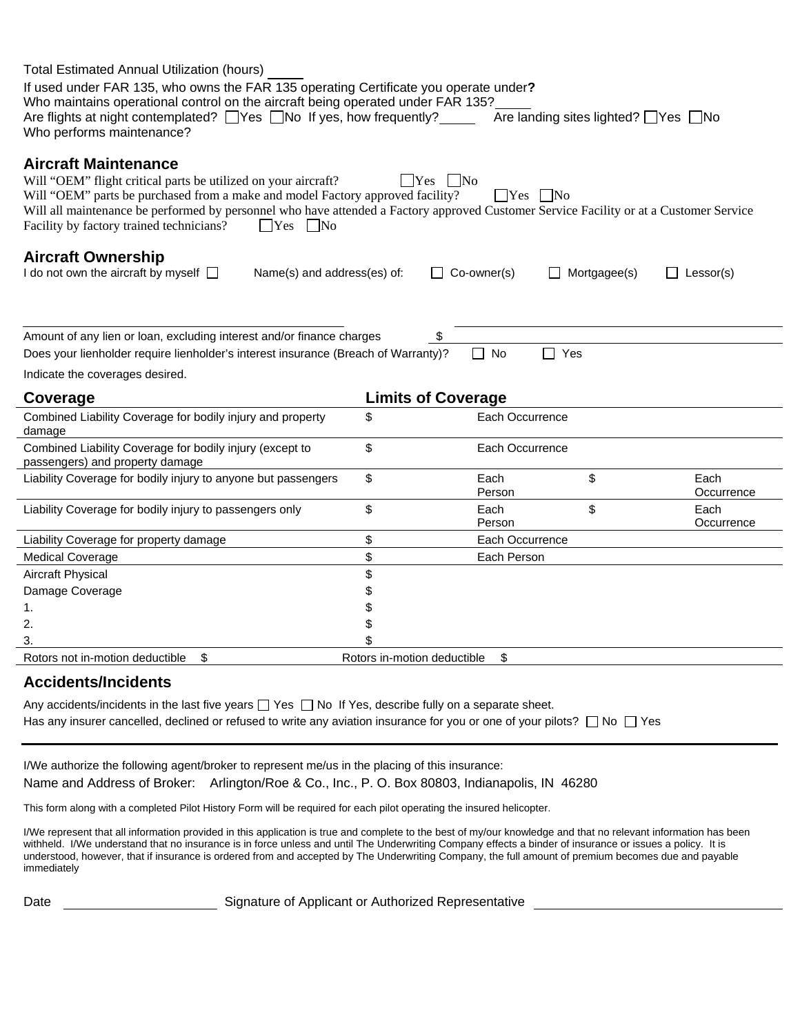| <b>Total Estimated Annual Utilization (hours)</b>                                                                                                                                                                                                                                                                                                                                             |                             |                                       |                    |  |  |
|-----------------------------------------------------------------------------------------------------------------------------------------------------------------------------------------------------------------------------------------------------------------------------------------------------------------------------------------------------------------------------------------------|-----------------------------|---------------------------------------|--------------------|--|--|
| If used under FAR 135, who owns the FAR 135 operating Certificate you operate under?<br>Who maintains operational control on the aircraft being operated under FAR 135?<br>Are flights at night contemplated? □ Yes □ No If yes, how frequently? _______<br>Who performs maintenance?                                                                                                         |                             | Are landing sites lighted? ■ Yes ■ No |                    |  |  |
| <b>Aircraft Maintenance</b><br>Will "OEM" flight critical parts be utilized on your aircraft?<br>Will "OEM" parts be purchased from a make and model Factory approved facility?<br>Will all maintenance be performed by personnel who have attended a Factory approved Customer Service Facility or at a Customer Service<br>Facility by factory trained technicians?<br>$\Box$ Yes $\Box$ No | $\Box$ Yes                  | No<br>$\Box$ Yes $\Box$ No            |                    |  |  |
| <b>Aircraft Ownership</b><br>I do not own the aircraft by myself $\Box$<br>Name(s) and address(es) of:                                                                                                                                                                                                                                                                                        |                             | Co-owner(s)<br>Mortgagee(s)           | $\Box$ Lessor(s)   |  |  |
| Amount of any lien or loan, excluding interest and/or finance charges<br>Does your lienholder require lienholder's interest insurance (Breach of Warranty)?                                                                                                                                                                                                                                   |                             | \$<br>$\Box$ No<br>$\Box$ Yes         |                    |  |  |
| Indicate the coverages desired.                                                                                                                                                                                                                                                                                                                                                               |                             |                                       |                    |  |  |
|                                                                                                                                                                                                                                                                                                                                                                                               |                             |                                       |                    |  |  |
| Coverage                                                                                                                                                                                                                                                                                                                                                                                      |                             | <b>Limits of Coverage</b>             |                    |  |  |
| Combined Liability Coverage for bodily injury and property<br>damage                                                                                                                                                                                                                                                                                                                          | \$                          | Each Occurrence                       |                    |  |  |
| Combined Liability Coverage for bodily injury (except to<br>passengers) and property damage                                                                                                                                                                                                                                                                                                   | \$                          | Each Occurrence                       |                    |  |  |
| Liability Coverage for bodily injury to anyone but passengers                                                                                                                                                                                                                                                                                                                                 | \$                          | \$<br>Each<br>Person                  | Each<br>Occurrence |  |  |
| Liability Coverage for bodily injury to passengers only                                                                                                                                                                                                                                                                                                                                       | \$                          | \$<br>Each<br>Person                  | Each<br>Occurrence |  |  |
| Liability Coverage for property damage                                                                                                                                                                                                                                                                                                                                                        | \$                          | Each Occurrence                       |                    |  |  |
| <b>Medical Coverage</b>                                                                                                                                                                                                                                                                                                                                                                       | \$                          | Each Person                           |                    |  |  |
| Aircraft Physical                                                                                                                                                                                                                                                                                                                                                                             | \$                          |                                       |                    |  |  |
| Damage Coverage                                                                                                                                                                                                                                                                                                                                                                               | \$                          |                                       |                    |  |  |
| 1.                                                                                                                                                                                                                                                                                                                                                                                            | \$                          |                                       |                    |  |  |
| 2.                                                                                                                                                                                                                                                                                                                                                                                            | \$                          |                                       |                    |  |  |
| 3.                                                                                                                                                                                                                                                                                                                                                                                            | \$                          |                                       |                    |  |  |
| Rotors not in-motion deductible<br>\$                                                                                                                                                                                                                                                                                                                                                         | Rotors in-motion deductible | \$                                    |                    |  |  |
| Accidente/Incidente                                                                                                                                                                                                                                                                                                                                                                           |                             |                                       |                    |  |  |

## **Accidents/Incidents**

Any accidents/incidents in the last five years  $\Box$  Yes  $\Box$  No If Yes, describe fully on a separate sheet. Has any insurer cancelled, declined or refused to write any aviation insurance for you or one of your pilots?  $\Box$  No  $\Box$  Yes

I/We authorize the following agent/broker to represent me/us in the placing of this insurance: Name and Address of Broker: Arlington/Roe & Co., Inc., P. O. Box 80803, Indianapolis, IN 46280

This form along with a completed Pilot History Form will be required for each pilot operating the insured helicopter.

I/We represent that all information provided in this application is true and complete to the best of my/our knowledge and that no relevant information has been withheld. I/We understand that no insurance is in force unless and until The Underwriting Company effects a binder of insurance or issues a policy. It is understood, however, that if insurance is ordered from and accepted by The Underwriting Company, the full amount of premium becomes due and payable immediately

Date **Signature of Applicant or Authorized Representative**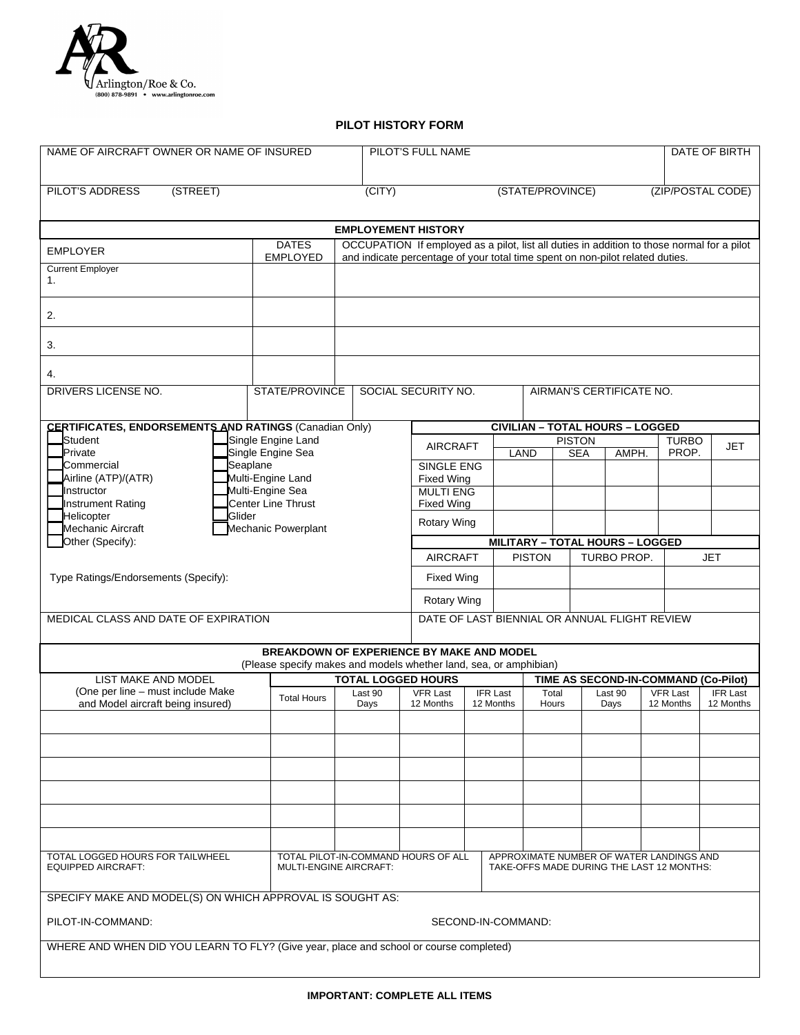

## **PILOT HISTORY FORM**

| NAME OF AIRCRAFT OWNER OR NAME OF INSURED                                                                                                                                                                                      |                                                                                                                |                                                                                                                                                                             | PILOT'S FULL NAME                                                    |                              |                                        |                          | DATE OF BIRTH |                                      |                 |
|--------------------------------------------------------------------------------------------------------------------------------------------------------------------------------------------------------------------------------|----------------------------------------------------------------------------------------------------------------|-----------------------------------------------------------------------------------------------------------------------------------------------------------------------------|----------------------------------------------------------------------|------------------------------|----------------------------------------|--------------------------|---------------|--------------------------------------|-----------------|
| <b>PILOT'S ADDRESS</b><br>(STREET)                                                                                                                                                                                             |                                                                                                                | (CITY)                                                                                                                                                                      |                                                                      |                              |                                        |                          |               |                                      |                 |
|                                                                                                                                                                                                                                |                                                                                                                |                                                                                                                                                                             | (STATE/PROVINCE)<br>(ZIP/POSTAL CODE)                                |                              |                                        |                          |               |                                      |                 |
|                                                                                                                                                                                                                                |                                                                                                                | <b>EMPLOYEMENT HISTORY</b>                                                                                                                                                  |                                                                      |                              |                                        |                          |               |                                      |                 |
| <b>EMPLOYER</b>                                                                                                                                                                                                                | <b>DATES</b><br><b>EMPLOYED</b>                                                                                | OCCUPATION If employed as a pilot, list all duties in addition to those normal for a pilot<br>and indicate percentage of your total time spent on non-pilot related duties. |                                                                      |                              |                                        |                          |               |                                      |                 |
| <b>Current Employer</b>                                                                                                                                                                                                        |                                                                                                                |                                                                                                                                                                             |                                                                      |                              |                                        |                          |               |                                      |                 |
| 1.                                                                                                                                                                                                                             |                                                                                                                |                                                                                                                                                                             |                                                                      |                              |                                        |                          |               |                                      |                 |
| 2.                                                                                                                                                                                                                             |                                                                                                                |                                                                                                                                                                             |                                                                      |                              |                                        |                          |               |                                      |                 |
| 3.                                                                                                                                                                                                                             |                                                                                                                |                                                                                                                                                                             |                                                                      |                              |                                        |                          |               |                                      |                 |
| 4.                                                                                                                                                                                                                             |                                                                                                                |                                                                                                                                                                             |                                                                      |                              |                                        |                          |               |                                      |                 |
| DRIVERS LICENSE NO.                                                                                                                                                                                                            | STATE/PROVINCE                                                                                                 |                                                                                                                                                                             | SOCIAL SECURITY NO.                                                  |                              |                                        | AIRMAN'S CERTIFICATE NO. |               |                                      |                 |
| <b>CERTIFICATES, ENDORSEMENTS AND RATINGS (Canadian Only)</b>                                                                                                                                                                  |                                                                                                                |                                                                                                                                                                             |                                                                      |                              | <b>CIVILIAN - TOTAL HOURS - LOGGED</b> |                          |               |                                      |                 |
| Student<br><b>J</b> Private                                                                                                                                                                                                    | Single Engine Land<br>Single Engine Sea                                                                        |                                                                                                                                                                             | <b>PISTON</b><br><b>AIRCRAFT</b><br>LAND                             |                              |                                        | <b>SEA</b>               | AMPH.         | <b>TURBO</b><br>PROP.                | <b>JET</b>      |
| Commercial                                                                                                                                                                                                                     | Seaplane                                                                                                       |                                                                                                                                                                             | SINGLE ENG                                                           |                              |                                        |                          |               |                                      |                 |
| Airline (ATP)/(ATR)<br>Instructor                                                                                                                                                                                              | Multi-Engine Land<br>Multi-Engine Sea                                                                          |                                                                                                                                                                             | <b>Fixed Wing</b><br><b>MULTI ENG</b>                                |                              |                                        |                          |               |                                      |                 |
| Instrument Rating                                                                                                                                                                                                              | Center Line Thrust                                                                                             |                                                                                                                                                                             | <b>Fixed Wing</b>                                                    |                              |                                        |                          |               |                                      |                 |
| Helicopter<br>Glider<br>Mechanic Aircraft                                                                                                                                                                                      | Mechanic Powerplant                                                                                            |                                                                                                                                                                             | Rotary Wing                                                          |                              |                                        |                          |               |                                      |                 |
| Other (Specify):                                                                                                                                                                                                               |                                                                                                                |                                                                                                                                                                             | <b>MILITARY - TOTAL HOURS - LOGGED</b>                               |                              |                                        |                          |               |                                      |                 |
|                                                                                                                                                                                                                                |                                                                                                                |                                                                                                                                                                             | <b>AIRCRAFT</b><br><b>PISTON</b><br><b>TURBO PROP.</b><br><b>JET</b> |                              |                                        |                          |               |                                      |                 |
| Type Ratings/Endorsements (Specify):                                                                                                                                                                                           |                                                                                                                |                                                                                                                                                                             | <b>Fixed Wing</b>                                                    |                              |                                        |                          |               |                                      |                 |
|                                                                                                                                                                                                                                |                                                                                                                |                                                                                                                                                                             | <b>Rotary Wing</b>                                                   |                              |                                        |                          |               |                                      |                 |
| DATE OF LAST BIENNIAL OR ANNUAL FLIGHT REVIEW<br>MEDICAL CLASS AND DATE OF EXPIRATION                                                                                                                                          |                                                                                                                |                                                                                                                                                                             |                                                                      |                              |                                        |                          |               |                                      |                 |
|                                                                                                                                                                                                                                | BREAKDOWN OF EXPERIENCE BY MAKE AND MODEL<br>(Please specify makes and models whether land, sea, or amphibian) |                                                                                                                                                                             |                                                                      |                              |                                        |                          |               |                                      |                 |
| <b>LIST MAKE AND MODEL</b>                                                                                                                                                                                                     |                                                                                                                | <b>TOTAL LOGGED HOURS</b>                                                                                                                                                   |                                                                      |                              |                                        |                          |               | TIME AS SECOND-IN-COMMAND (Co-Pilot) |                 |
| (One per line - must include Make                                                                                                                                                                                              | <b>Total Hours</b>                                                                                             | Last 90                                                                                                                                                                     | <b>VFR Last</b>                                                      | <b>IFR Last</b><br>12 Months | Total                                  | Last 90                  |               | <b>VFR Last</b>                      | <b>IFR Last</b> |
| and Model aircraft being insured)                                                                                                                                                                                              |                                                                                                                | Days                                                                                                                                                                        | 12 Months                                                            |                              | Hours                                  | Days                     |               | 12 Months                            | 12 Months       |
|                                                                                                                                                                                                                                |                                                                                                                |                                                                                                                                                                             |                                                                      |                              |                                        |                          |               |                                      |                 |
|                                                                                                                                                                                                                                |                                                                                                                |                                                                                                                                                                             |                                                                      |                              |                                        |                          |               |                                      |                 |
|                                                                                                                                                                                                                                |                                                                                                                |                                                                                                                                                                             |                                                                      |                              |                                        |                          |               |                                      |                 |
|                                                                                                                                                                                                                                |                                                                                                                |                                                                                                                                                                             |                                                                      |                              |                                        |                          |               |                                      |                 |
|                                                                                                                                                                                                                                |                                                                                                                |                                                                                                                                                                             |                                                                      |                              |                                        |                          |               |                                      |                 |
| TOTAL PILOT-IN-COMMAND HOURS OF ALL<br>APPROXIMATE NUMBER OF WATER LANDINGS AND<br>TOTAL LOGGED HOURS FOR TAILWHEEL<br><b>EQUIPPED AIRCRAFT:</b><br><b>MULTI-ENGINE AIRCRAFT:</b><br>TAKE-OFFS MADE DURING THE LAST 12 MONTHS: |                                                                                                                |                                                                                                                                                                             |                                                                      |                              |                                        |                          |               |                                      |                 |
| SPECIFY MAKE AND MODEL(S) ON WHICH APPROVAL IS SOUGHT AS:                                                                                                                                                                      |                                                                                                                |                                                                                                                                                                             |                                                                      |                              |                                        |                          |               |                                      |                 |
| PILOT-IN-COMMAND:<br>SECOND-IN-COMMAND:                                                                                                                                                                                        |                                                                                                                |                                                                                                                                                                             |                                                                      |                              |                                        |                          |               |                                      |                 |
| WHERE AND WHEN DID YOU LEARN TO FLY? (Give year, place and school or course completed)                                                                                                                                         |                                                                                                                |                                                                                                                                                                             |                                                                      |                              |                                        |                          |               |                                      |                 |